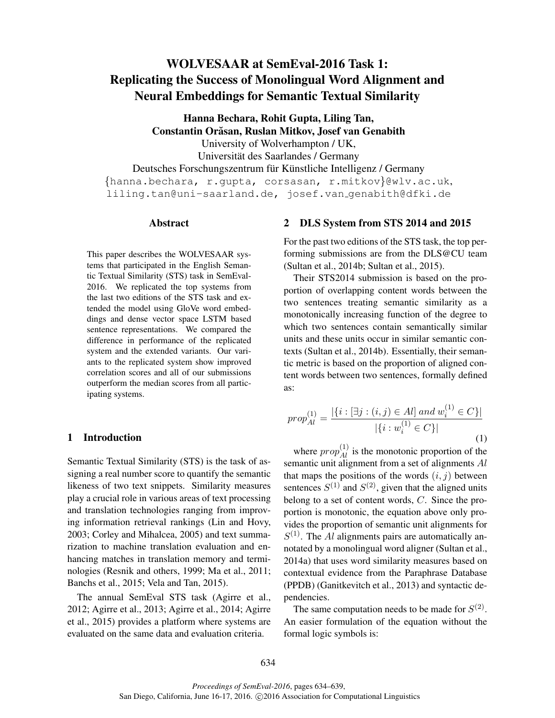# WOLVESAAR at SemEval-2016 Task 1: Replicating the Success of Monolingual Word Alignment and Neural Embeddings for Semantic Textual Similarity

Hanna Bechara, Rohit Gupta, Liling Tan, Constantin Orăsan, Ruslan Mitkov, Josef van Genabith University of Wolverhampton / UK, Universität des Saarlandes / Germany

Deutsches Forschungszentrum für Künstliche Intelligenz / Germany {hanna.bechara, r.gupta, corsasan, r.mitkov}@wlv.ac.uk, liling.tan@uni-saarland.de, josef.van genabith@dfki.de

#### Abstract

This paper describes the WOLVESAAR systems that participated in the English Semantic Textual Similarity (STS) task in SemEval-2016. We replicated the top systems from the last two editions of the STS task and extended the model using GloVe word embeddings and dense vector space LSTM based sentence representations. We compared the difference in performance of the replicated system and the extended variants. Our variants to the replicated system show improved correlation scores and all of our submissions outperform the median scores from all participating systems.

#### 1 Introduction

Semantic Textual Similarity (STS) is the task of assigning a real number score to quantify the semantic likeness of two text snippets. Similarity measures play a crucial role in various areas of text processing and translation technologies ranging from improving information retrieval rankings (Lin and Hovy, 2003; Corley and Mihalcea, 2005) and text summarization to machine translation evaluation and enhancing matches in translation memory and terminologies (Resnik and others, 1999; Ma et al., 2011; Banchs et al., 2015; Vela and Tan, 2015).

The annual SemEval STS task (Agirre et al., 2012; Agirre et al., 2013; Agirre et al., 2014; Agirre et al., 2015) provides a platform where systems are evaluated on the same data and evaluation criteria.

## 2 DLS System from STS 2014 and 2015

For the past two editions of the STS task, the top performing submissions are from the DLS@CU team (Sultan et al., 2014b; Sultan et al., 2015).

Their STS2014 submission is based on the proportion of overlapping content words between the two sentences treating semantic similarity as a monotonically increasing function of the degree to which two sentences contain semantically similar units and these units occur in similar semantic contexts (Sultan et al., 2014b). Essentially, their semantic metric is based on the proportion of aligned content words between two sentences, formally defined as:

$$
prop_{Al}^{(1)} = \frac{|\{i : [\exists j : (i, j) \in Al] \text{ and } w_i^{(1)} \in C\}|}{|\{i : w_i^{(1)} \in C\}|}
$$
(1)

where  $prop_{Al}^{(1)}$  is the monotonic proportion of the semantic unit alignment from a set of alignments Al that maps the positions of the words  $(i, j)$  between sentences  $S^{(1)}$  and  $S^{(2)}$ , given that the aligned units belong to a set of content words, C. Since the proportion is monotonic, the equation above only provides the proportion of semantic unit alignments for  $S^{(1)}$ . The Al alignments pairs are automatically annotated by a monolingual word aligner (Sultan et al., 2014a) that uses word similarity measures based on contextual evidence from the Paraphrase Database (PPDB) (Ganitkevitch et al., 2013) and syntactic dependencies.

The same computation needs to be made for  $S^{(2)}$ . An easier formulation of the equation without the formal logic symbols is: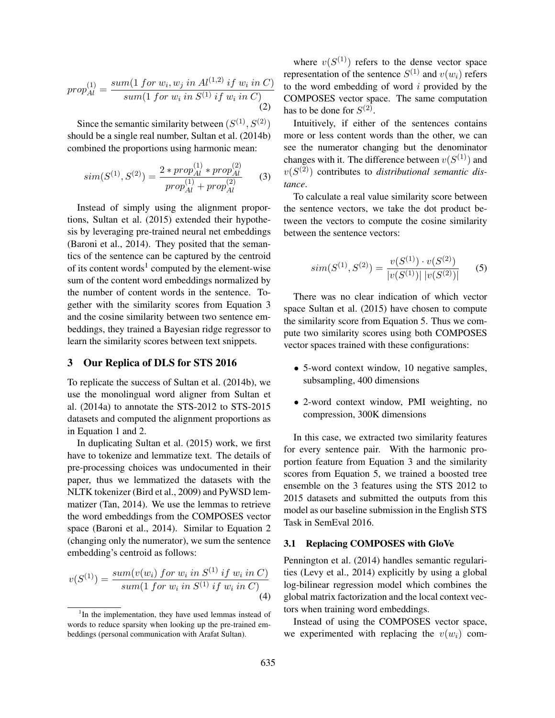$$
prop_{Al}^{(1)} = \frac{sum(1 \, for \, w_i, w_j \, in \, Al^{(1,2)} \, if \, w_i \, in \, C)}{sum(1 \, for \, w_i \, in \, S^{(1)} \, if \, w_i \, in \, C)} \tag{2}
$$

Since the semantic similarity between  $(S^{(1)}, S^{(2)})$ should be a single real number, Sultan et al. (2014b) combined the proportions using harmonic mean:

$$
sim(S^{(1)}, S^{(2)}) = \frac{2 * prop_{Al}^{(1)} * prop_{Al}^{(2)}}{prop_{Al}^{(1)} + prop_{Al}^{(2)}} \tag{3}
$$

Instead of simply using the alignment proportions, Sultan et al. (2015) extended their hypothesis by leveraging pre-trained neural net embeddings (Baroni et al., 2014). They posited that the semantics of the sentence can be captured by the centroid of its content words<sup>1</sup> computed by the element-wise sum of the content word embeddings normalized by the number of content words in the sentence. Together with the similarity scores from Equation 3 and the cosine similarity between two sentence embeddings, they trained a Bayesian ridge regressor to learn the similarity scores between text snippets.

# 3 Our Replica of DLS for STS 2016

To replicate the success of Sultan et al. (2014b), we use the monolingual word aligner from Sultan et al. (2014a) to annotate the STS-2012 to STS-2015 datasets and computed the alignment proportions as in Equation 1 and 2.

In duplicating Sultan et al. (2015) work, we first have to tokenize and lemmatize text. The details of pre-processing choices was undocumented in their paper, thus we lemmatized the datasets with the NLTK tokenizer (Bird et al., 2009) and PyWSD lemmatizer (Tan, 2014). We use the lemmas to retrieve the word embeddings from the COMPOSES vector space (Baroni et al., 2014). Similar to Equation 2 (changing only the numerator), we sum the sentence embedding's centroid as follows:

$$
v(S^{(1)}) = \frac{sum(v(w_i) \ for \ w_i \ in \ S^{(1)} \ if \ w_i \ in \ C)}{sum(1 \ for \ w_i \ in \ S^{(1)} \ if \ w_i \ in \ C)}{(4)}
$$

where  $v(S^{(1)})$  refers to the dense vector space representation of the sentence  $S^{(1)}$  and  $v(w_i)$  refers to the word embedding of word  $i$  provided by the COMPOSES vector space. The same computation has to be done for  $S^{(2)}$ .

Intuitively, if either of the sentences contains more or less content words than the other, we can see the numerator changing but the denominator changes with it. The difference between  $v(S^{(1)})$  and  $v(S^{(2)})$  contributes to *distributional semantic distance*.

To calculate a real value similarity score between the sentence vectors, we take the dot product between the vectors to compute the cosine similarity between the sentence vectors:

$$
sim(S^{(1)}, S^{(2)}) = \frac{v(S^{(1)}) \cdot v(S^{(2)})}{|v(S^{(1)})| |v(S^{(2)})|}
$$
 (5)

There was no clear indication of which vector space Sultan et al. (2015) have chosen to compute the similarity score from Equation 5. Thus we compute two similarity scores using both COMPOSES vector spaces trained with these configurations:

- 5-word context window, 10 negative samples, subsampling, 400 dimensions
- 2-word context window, PMI weighting, no compression, 300K dimensions

In this case, we extracted two similarity features for every sentence pair. With the harmonic proportion feature from Equation 3 and the similarity scores from Equation 5, we trained a boosted tree ensemble on the 3 features using the STS 2012 to 2015 datasets and submitted the outputs from this model as our baseline submission in the English STS Task in SemEval 2016.

#### 3.1 Replacing COMPOSES with GloVe

Pennington et al. (2014) handles semantic regularities (Levy et al., 2014) explicitly by using a global log-bilinear regression model which combines the global matrix factorization and the local context vectors when training word embeddings.

Instead of using the COMPOSES vector space, we experimented with replacing the  $v(w_i)$  com-

<sup>&</sup>lt;sup>1</sup>In the implementation, they have used lemmas instead of words to reduce sparsity when looking up the pre-trained embeddings (personal communication with Arafat Sultan).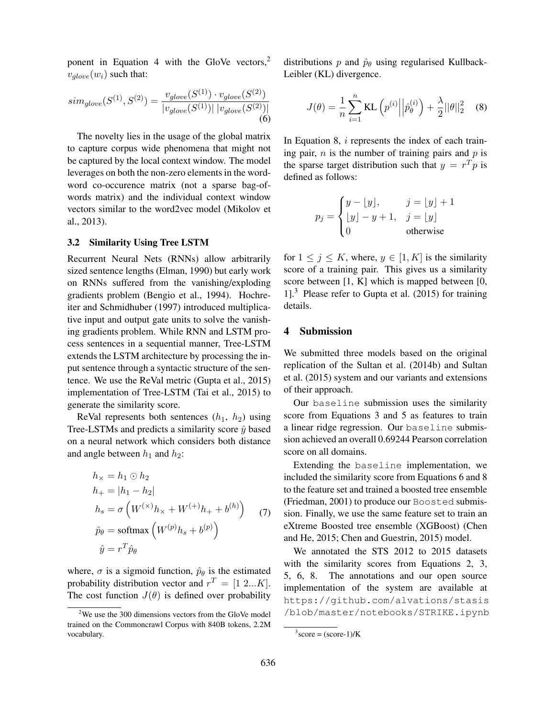ponent in Equation 4 with the GloVe vectors, $<sup>2</sup>$ </sup>  $v_{glove}(w_i)$  such that:

$$
sim_{glove}(S^{(1)}, S^{(2)}) = \frac{v_{glove}(S^{(1)}) \cdot v_{glove}(S^{(2)})}{|v_{glove}(S^{(1)})| |v_{glove}(S^{(2)})|}
$$
(6)

The novelty lies in the usage of the global matrix to capture corpus wide phenomena that might not be captured by the local context window. The model leverages on both the non-zero elements in the wordword co-occurence matrix (not a sparse bag-ofwords matrix) and the individual context window vectors similar to the word2vec model (Mikolov et al., 2013).

#### 3.2 Similarity Using Tree LSTM

Recurrent Neural Nets (RNNs) allow arbitrarily sized sentence lengths (Elman, 1990) but early work on RNNs suffered from the vanishing/exploding gradients problem (Bengio et al., 1994). Hochreiter and Schmidhuber (1997) introduced multiplicative input and output gate units to solve the vanishing gradients problem. While RNN and LSTM process sentences in a sequential manner, Tree-LSTM extends the LSTM architecture by processing the input sentence through a syntactic structure of the sentence. We use the ReVal metric (Gupta et al., 2015) implementation of Tree-LSTM (Tai et al., 2015) to generate the similarity score.

ReVal represents both sentences  $(h_1, h_2)$  using Tree-LSTMs and predicts a similarity score  $\hat{y}$  based on a neural network which considers both distance and angle between  $h_1$  and  $h_2$ :

$$
h_{\times} = h_1 \odot h_2
$$
  
\n
$$
h_{+} = |h_1 - h_2|
$$
  
\n
$$
h_s = \sigma \left( W^{(\times)} h_{\times} + W^{(+)} h_{+} + b^{(h)} \right)
$$
 (7)  
\n
$$
\hat{p}_{\theta} = \text{softmax} \left( W^{(p)} h_s + b^{(p)} \right)
$$
  
\n
$$
\hat{y} = r^T \hat{p}_{\theta}
$$

where,  $\sigma$  is a sigmoid function,  $\hat{p}_{\theta}$  is the estimated probability distribution vector and  $r^T = [1 \ 2...K]$ . The cost function  $J(\theta)$  is defined over probability distributions p and  $\hat{p}_{\theta}$  using regularised Kullback-Leibler (KL) divergence.

$$
J(\theta) = \frac{1}{n} \sum_{i=1}^{n} \text{KL} \left( p^{(i)} \middle| \hat{p}_{\theta}^{(i)} \right) + \frac{\lambda}{2} ||\theta||_2^2 \quad (8)
$$

In Equation 8, *i* represents the index of each training pair,  $n$  is the number of training pairs and  $p$  is the sparse target distribution such that  $y = r<sup>T</sup>p$  is defined as follows:

$$
p_j = \begin{cases} y - \lfloor y \rfloor, & j = \lfloor y \rfloor + 1 \\ \lfloor y \rfloor - y + 1, & j = \lfloor y \rfloor \\ 0 & \text{otherwise} \end{cases}
$$

for  $1 \leq j \leq K$ , where,  $y \in [1, K]$  is the similarity score of a training pair. This gives us a similarity score between [1, K] which is mapped between [0, 1].<sup>3</sup> Please refer to Gupta et al. (2015) for training details.

## 4 Submission

We submitted three models based on the original replication of the Sultan et al. (2014b) and Sultan et al. (2015) system and our variants and extensions of their approach.

Our baseline submission uses the similarity score from Equations 3 and 5 as features to train a linear ridge regression. Our baseline submission achieved an overall 0.69244 Pearson correlation score on all domains.

Extending the baseline implementation, we included the similarity score from Equations 6 and 8 to the feature set and trained a boosted tree ensemble (Friedman, 2001) to produce our Boosted submission. Finally, we use the same feature set to train an eXtreme Boosted tree ensemble (XGBoost) (Chen and He, 2015; Chen and Guestrin, 2015) model.

We annotated the STS 2012 to 2015 datasets with the similarity scores from Equations 2, 3, 5, 6, 8. The annotations and our open source implementation of the system are available at https://github.com/alvations/stasis /blob/master/notebooks/STRIKE.ipynb

 $2$ We use the 300 dimensions vectors from the GloVe model trained on the Commoncrawl Corpus with 840B tokens, 2.2M vocabulary.

 $3\text{score} = (\text{score}-1)/K$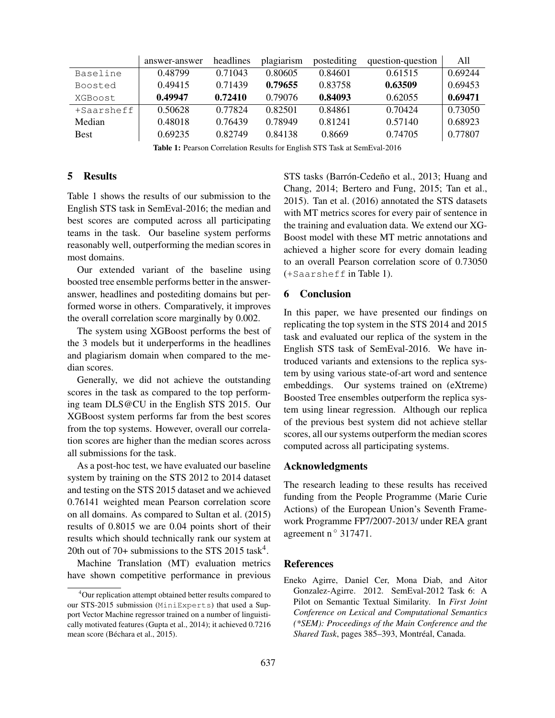|            | answer-answer | headlines | plagiarism | postediting | question-question | All     |
|------------|---------------|-----------|------------|-------------|-------------------|---------|
| Baseline   | 0.48799       | 0.71043   | 0.80605    | 0.84601     | 0.61515           | 0.69244 |
| Boosted    | 0.49415       | 0.71439   | 0.79655    | 0.83758     | 0.63509           | 0.69453 |
| XGBoost    | 0.49947       | 0.72410   | 0.79076    | 0.84093     | 0.62055           | 0.69471 |
| +Saarsheff | 0.50628       | 0.77824   | 0.82501    | 0.84861     | 0.70424           | 0.73050 |
| Median     | 0.48018       | 0.76439   | 0.78949    | 0.81241     | 0.57140           | 0.68923 |
| Best       | 0.69235       | 0.82749   | 0.84138    | 0.8669      | 0.74705           | 0.77807 |

Table 1: Pearson Correlation Results for English STS Task at SemEval-2016

# 5 Results

Table 1 shows the results of our submission to the English STS task in SemEval-2016; the median and best scores are computed across all participating teams in the task. Our baseline system performs reasonably well, outperforming the median scores in most domains.

Our extended variant of the baseline using boosted tree ensemble performs better in the answeranswer, headlines and postediting domains but performed worse in others. Comparatively, it improves the overall correlation score marginally by 0.002.

The system using XGBoost performs the best of the 3 models but it underperforms in the headlines and plagiarism domain when compared to the median scores.

Generally, we did not achieve the outstanding scores in the task as compared to the top performing team DLS@CU in the English STS 2015. Our XGBoost system performs far from the best scores from the top systems. However, overall our correlation scores are higher than the median scores across all submissions for the task.

As a post-hoc test, we have evaluated our baseline system by training on the STS 2012 to 2014 dataset and testing on the STS 2015 dataset and we achieved 0.76141 weighted mean Pearson correlation score on all domains. As compared to Sultan et al. (2015) results of 0.8015 we are 0.04 points short of their results which should technically rank our system at 20th out of 70+ submissions to the STS 2015 task<sup>4</sup>.

Machine Translation (MT) evaluation metrics have shown competitive performance in previous

STS tasks (Barrón-Cedeño et al., 2013; Huang and Chang, 2014; Bertero and Fung, 2015; Tan et al., 2015). Tan et al. (2016) annotated the STS datasets with MT metrics scores for every pair of sentence in the training and evaluation data. We extend our XG-Boost model with these MT metric annotations and achieved a higher score for every domain leading to an overall Pearson correlation score of 0.73050 (+Saarsheff in Table 1).

# 6 Conclusion

In this paper, we have presented our findings on replicating the top system in the STS 2014 and 2015 task and evaluated our replica of the system in the English STS task of SemEval-2016. We have introduced variants and extensions to the replica system by using various state-of-art word and sentence embeddings. Our systems trained on (eXtreme) Boosted Tree ensembles outperform the replica system using linear regression. Although our replica of the previous best system did not achieve stellar scores, all our systems outperform the median scores computed across all participating systems.

## Acknowledgments

The research leading to these results has received funding from the People Programme (Marie Curie Actions) of the European Union's Seventh Framework Programme FP7/2007-2013/ under REA grant agreement n ◦ 317471.

#### References

Eneko Agirre, Daniel Cer, Mona Diab, and Aitor Gonzalez-Agirre. 2012. SemEval-2012 Task 6: A Pilot on Semantic Textual Similarity. In *First Joint Conference on Lexical and Computational Semantics (\*SEM): Proceedings of the Main Conference and the Shared Task*, pages 385–393, Montréal, Canada.

<sup>4</sup>Our replication attempt obtained better results compared to our STS-2015 submission (MiniExperts) that used a Support Vector Machine regressor trained on a number of linguistically motivated features (Gupta et al., 2014); it achieved 0.7216 mean score (Béchara et al., 2015).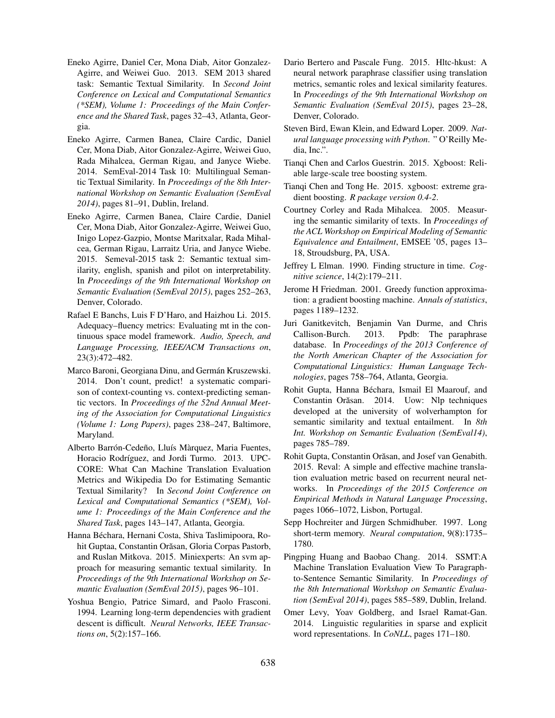- Eneko Agirre, Daniel Cer, Mona Diab, Aitor Gonzalez-Agirre, and Weiwei Guo. 2013. SEM 2013 shared task: Semantic Textual Similarity. In *Second Joint Conference on Lexical and Computational Semantics (\*SEM), Volume 1: Proceedings of the Main Conference and the Shared Task*, pages 32–43, Atlanta, Georgia.
- Eneko Agirre, Carmen Banea, Claire Cardic, Daniel Cer, Mona Diab, Aitor Gonzalez-Agirre, Weiwei Guo, Rada Mihalcea, German Rigau, and Janyce Wiebe. 2014. SemEval-2014 Task 10: Multilingual Semantic Textual Similarity. In *Proceedings of the 8th International Workshop on Semantic Evaluation (SemEval 2014)*, pages 81–91, Dublin, Ireland.
- Eneko Agirre, Carmen Banea, Claire Cardie, Daniel Cer, Mona Diab, Aitor Gonzalez-Agirre, Weiwei Guo, Inigo Lopez-Gazpio, Montse Maritxalar, Rada Mihalcea, German Rigau, Larraitz Uria, and Janyce Wiebe. 2015. Semeval-2015 task 2: Semantic textual similarity, english, spanish and pilot on interpretability. In *Proceedings of the 9th International Workshop on Semantic Evaluation (SemEval 2015)*, pages 252–263, Denver, Colorado.
- Rafael E Banchs, Luis F D'Haro, and Haizhou Li. 2015. Adequacy–fluency metrics: Evaluating mt in the continuous space model framework. *Audio, Speech, and Language Processing, IEEE/ACM Transactions on*, 23(3):472–482.
- Marco Baroni, Georgiana Dinu, and Germán Kruszewski. 2014. Don't count, predict! a systematic comparison of context-counting vs. context-predicting semantic vectors. In *Proceedings of the 52nd Annual Meeting of the Association for Computational Linguistics (Volume 1: Long Papers)*, pages 238–247, Baltimore, Maryland.
- Alberto Barrón-Cedeño, Lluís Màrquez, Maria Fuentes, Horacio Rodríguez, and Jordi Turmo. 2013. UPC-CORE: What Can Machine Translation Evaluation Metrics and Wikipedia Do for Estimating Semantic Textual Similarity? In *Second Joint Conference on Lexical and Computational Semantics (\*SEM), Volume 1: Proceedings of the Main Conference and the Shared Task*, pages 143–147, Atlanta, Georgia.
- Hanna Béchara, Hernani Costa, Shiva Taslimipoora, Rohit Guptaa, Constantin Orăsan, Gloria Corpas Pastorb, and Ruslan Mitkova. 2015. Miniexperts: An svm approach for measuring semantic textual similarity. In *Proceedings of the 9th International Workshop on Semantic Evaluation (SemEval 2015)*, pages 96–101.
- Yoshua Bengio, Patrice Simard, and Paolo Frasconi. 1994. Learning long-term dependencies with gradient descent is difficult. *Neural Networks, IEEE Transactions on*, 5(2):157–166.
- Dario Bertero and Pascale Fung. 2015. Hltc-hkust: A neural network paraphrase classifier using translation metrics, semantic roles and lexical similarity features. In *Proceedings of the 9th International Workshop on Semantic Evaluation (SemEval 2015)*, pages 23–28, Denver, Colorado.
- Steven Bird, Ewan Klein, and Edward Loper. 2009. *Natural language processing with Python*. " O'Reilly Media, Inc.".
- Tianqi Chen and Carlos Guestrin. 2015. Xgboost: Reliable large-scale tree boosting system.
- Tianqi Chen and Tong He. 2015. xgboost: extreme gradient boosting. *R package version 0.4-2*.
- Courtney Corley and Rada Mihalcea. 2005. Measuring the semantic similarity of texts. In *Proceedings of the ACL Workshop on Empirical Modeling of Semantic Equivalence and Entailment*, EMSEE '05, pages 13– 18, Stroudsburg, PA, USA.
- Jeffrey L Elman. 1990. Finding structure in time. *Cognitive science*, 14(2):179–211.
- Jerome H Friedman. 2001. Greedy function approximation: a gradient boosting machine. *Annals of statistics*, pages 1189–1232.
- Juri Ganitkevitch, Benjamin Van Durme, and Chris Callison-Burch. 2013. Ppdb: The paraphrase database. In *Proceedings of the 2013 Conference of the North American Chapter of the Association for Computational Linguistics: Human Language Technologies*, pages 758–764, Atlanta, Georgia.
- Rohit Gupta, Hanna Béchara, Ismail El Maarouf, and Constantin Orăsan. 2014. Uow: Nlp techniques developed at the university of wolverhampton for semantic similarity and textual entailment. In *8th Int. Workshop on Semantic Evaluation (SemEval14)*, pages 785–789.
- Rohit Gupta, Constantin Orăsan, and Josef van Genabith. 2015. Reval: A simple and effective machine translation evaluation metric based on recurrent neural networks. In *Proceedings of the 2015 Conference on Empirical Methods in Natural Language Processing*, pages 1066–1072, Lisbon, Portugal.
- Sepp Hochreiter and Jürgen Schmidhuber. 1997. Long short-term memory. *Neural computation*, 9(8):1735– 1780.
- Pingping Huang and Baobao Chang. 2014. SSMT:A Machine Translation Evaluation View To Paragraphto-Sentence Semantic Similarity. In *Proceedings of the 8th International Workshop on Semantic Evaluation (SemEval 2014)*, pages 585–589, Dublin, Ireland.
- Omer Levy, Yoav Goldberg, and Israel Ramat-Gan. 2014. Linguistic regularities in sparse and explicit word representations. In *CoNLL*, pages 171–180.